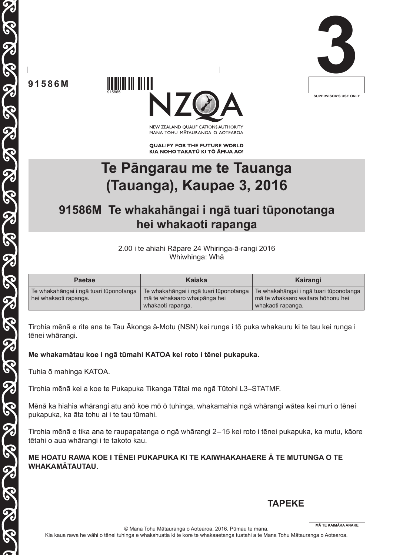

**91586M**

915865



NEW ZEALAND OUALIFICATIONS AUTHORITY MANA TOHU MĀTAURANGA O AOTEAROA

**QUALIFY FOR THE FUTURE WORLD** KIA NOHO TAKATŪ KI TŌ ĀMUA AO!

# **Te Pāngarau me te Tauanga (Tauanga), Kaupae 3, 2016**

# **91586M Te whakahāngai i ngā tuari tūponotanga hei whakaoti rapanga**

2.00 i te ahiahi Rāpare 24 Whiringa-ā-rangi 2016 Whiwhinga: Whā

| <b>Paetae</b>                                                   | Kaiaka                                                                 | Kairangi                                                                    |
|-----------------------------------------------------------------|------------------------------------------------------------------------|-----------------------------------------------------------------------------|
| Te whakahāngai i ngā tuari tūponotanga<br>hei whakaoti rapanga. | Te whakahāngai i ngā tuari tūponotanga<br>mā te whakaaro whaipānga hei | Te whakahāngai i ngā tuari tūponotanga<br>mā te whakaaro waitara hōhonu hei |
|                                                                 | whakaoti rapanga.                                                      | whakaoti rapanga.                                                           |

Tirohia mēnā e rite ana te Tau Ākonga ā-Motu (NSN) kei runga i tō puka whakauru ki te tau kei runga i tēnei whārangi.

**Me whakamātau koe i ngā tūmahi KATOA kei roto i tēnei pukapuka.**

Tuhia ō mahinga KATOA.

Tirohia mēnā kei a koe te Pukapuka Tikanga Tātai me ngā Tūtohi L3–STATMF.

Mēnā ka hiahia whārangi atu anō koe mō ō tuhinga, whakamahia ngā whārangi wātea kei muri o tēnei pukapuka, ka āta tohu ai i te tau tūmahi.

Tirohia mēnā e tika ana te raupapatanga o ngā whārangi 2–15 kei roto i tēnei pukapuka, ka mutu, kāore tētahi o aua whārangi i te takoto kau.

## **ME HOATU RAWA KOE I TĒNEI PUKAPUKA KI TE KAIWHAKAHAERE Ā TE MUTUNGA O TE WHAKAMĀTAUTAU.**

| <b>TAPEKE</b> |                            |
|---------------|----------------------------|
|               | <b>MĀ TE KAIMĀKA ANAKE</b> |

© Mana Tohu Mātauranga o Aotearoa, 2016. Pūmau te mana.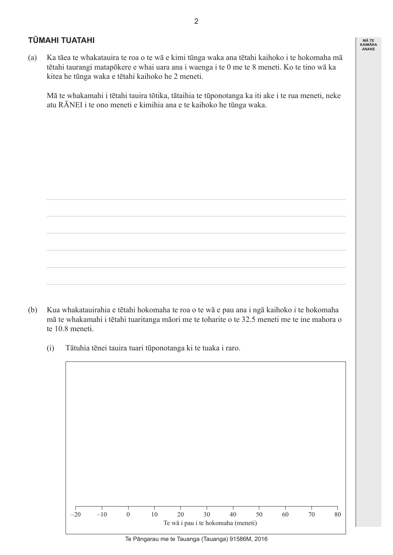### **TŪMAHI TUATAHI**

(a) Ka tāea te whakatauira te roa o te wā e kimi tūnga waka ana tētahi kaihoko i te hokomaha mā tētahi taurangi matapōkere e whai uara ana i waenga i te 0 me te 8 meneti. Ko te tino wā ka kitea he tūnga waka e tētahi kaihoko he 2 meneti.

 Mā te whakamahi i tētahi tauira tōtika, tātaihia te tūponotanga ka iti ake i te rua meneti, neke atu RĀNEI i te ono meneti e kimihia ana e te kaihoko he tūnga waka.

(b) Kua whakatauirahia e tētahi hokomaha te roa o te wā e pau ana i ngā kaihoko i te hokomaha mā te whakamahi i tētahi tuaritanga māori me te toharite o te 32.5 meneti me te ine mahora o te 10.8 meneti.

 (i) Tātuhia tēnei tauira tuari tūponotanga ki te tuaka i raro.



Te Pāngarau me te Tauanga (Tauanga) 91586M, 2016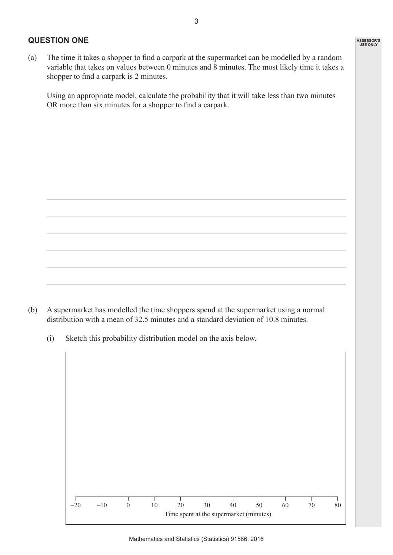#### **QUESTION ONE**

(a) The time it takes a shopper to find a carpark at the supermarket can be modelled by a random variable that takes on values between 0 minutes and 8 minutes. The most likely time it takes a shopper to find a carpark is 2 minutes.

 Using an appropriate model, calculate the probability that it will take less than two minutes OR more than six minutes for a shopper to find a carpark.

(b) A supermarket has modelled the time shoppers spend at the supermarket using a normal distribution with a mean of 32.5 minutes and a standard deviation of 10.8 minutes.

 (i) Sketch this probability distribution model on the axis below.

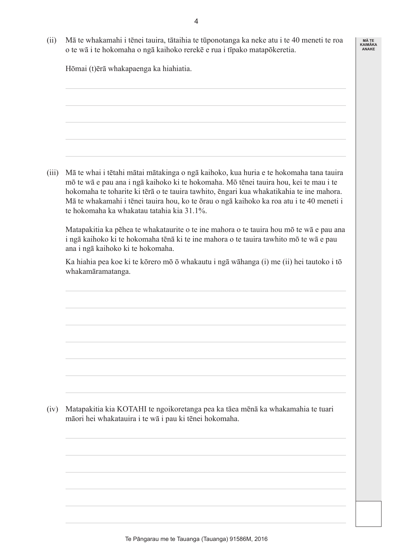(ii) Mā te whakamahi i tēnei tauira, tātaihia te tūponotanga ka neke atu i te 40 meneti te roa o te wā i te hokomaha o ngā kaihoko rerekē e rua i tīpako matapōkeretia.

**MĀ TE KAIMĀKA ANAKE**

 Hōmai (t)ērā whakapaenga ka hiahiatia.

 (iii) Mā te whai i tētahi mātai mātakinga o ngā kaihoko, kua huria e te hokomaha tana tauira mō te wā e pau ana i ngā kaihoko ki te hokomaha. Mō tēnei tauira hou, kei te mau i te hokomaha te toharite ki tērā o te tauira tawhito, ēngari kua whakatikahia te ine mahora. Mā te whakamahi i tēnei tauira hou, ko te ōrau o ngā kaihoko ka roa atu i te 40 meneti i te hokomaha ka whakatau tatahia kia 31.1%.

 Matapakitia ka pēhea te whakataurite o te ine mahora o te tauira hou mō te wā e pau ana i ngā kaihoko ki te hokomaha tēnā ki te ine mahora o te tauira tawhito mō te wā e pau ana i ngā kaihoko ki te hokomaha.

 Ka hiahia pea koe ki te kōrero mō ō whakautu i ngā wāhanga (i) me (ii) hei tautoko i tō whakamāramatanga.

 (iv) Matapakitia kia KOTAHI te ngoikoretanga pea ka tāea mēnā ka whakamahia te tuari māori hei whakatauira i te wā i pau ki tēnei hokomaha.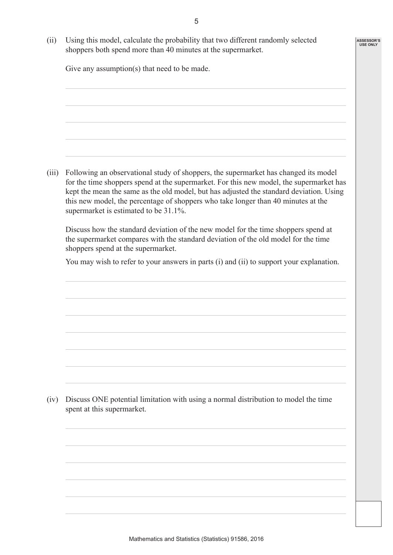**ASSESSOR'S USE ONLY**

 (ii) Using this model, calculate the probability that two different randomly selected shoppers both spend more than 40 minutes at the supermarket.

Give any assumption(s) that need to be made.

 (iii) Following an observational study of shoppers, the supermarket has changed its model for the time shoppers spend at the supermarket. For this new model, the supermarket has kept the mean the same as the old model, but has adjusted the standard deviation. Using this new model, the percentage of shoppers who take longer than 40 minutes at the supermarket is estimated to be 31.1%.

 Discuss how the standard deviation of the new model for the time shoppers spend at the supermarket compares with the standard deviation of the old model for the time shoppers spend at the supermarket.

You may wish to refer to your answers in parts (i) and (ii) to support your explanation.

 (iv) Discuss ONE potential limitation with using a normal distribution to model the time spent at this supermarket.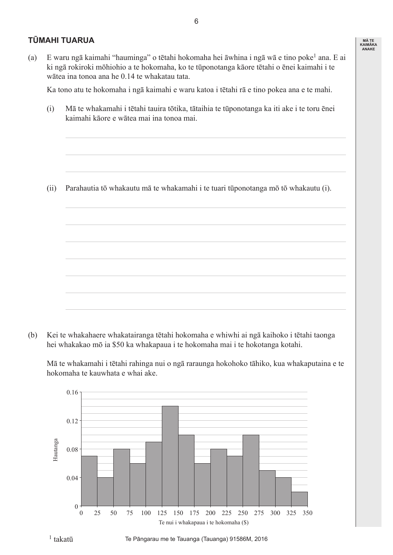## **TŪMAHI TUARUA**

(a) E waru ngā kaimahi "hauminga" o tētahi hokomaha hei āwhina i ngā wā e tino poke1 ana. E ai ki ngā rokiroki mōhiohio a te hokomaha, ko te tūponotanga kāore tētahi o ēnei kaimahi i te wātea ina tonoa ana he 0.14 te whakatau tata.

 Ka tono atu te hokomaha i ngā kaimahi e waru katoa i tētahi rā e tino pokea ana e te mahi.

 (i) Mā te whakamahi i tētahi tauira tōtika, tātaihia te tūponotanga ka iti ake i te toru ēnei kaimahi kāore e wātea mai ina tonoa mai.

 (ii) Parahautia tō whakautu mā te whakamahi i te tuari tūponotanga mō tō whakautu (i).

(b) Kei te whakahaere whakatairanga tētahi hokomaha e whiwhi ai ngā kaihoko i tētahi taonga hei whakakao mō ia \$50 ka whakapaua i te hokomaha mai i te hokotanga kotahi.

 Mā te whakamahi i tētahi rahinga nui o ngā raraunga hokohoko tāhiko, kua whakaputaina e te hokomaha te kauwhata e whai ake.



Te Pāngarau me te Tauanga (Tauanga) 91586M, 2016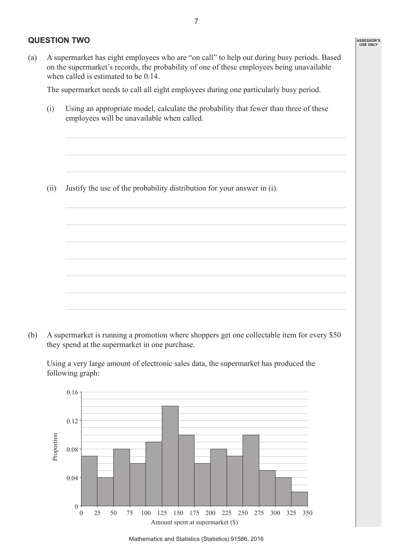### **QUESTION TWO**

(a) A supermarket has eight employees who are "on call" to help out during busy periods. Based on the supermarket's records, the probability of one of these employees being unavailable when called is estimated to be 0.14.

 The supermarket needs to call all eight employees during one particularly busy period.

 (i) Using an appropriate model, calculate the probability that fewer than three of these employees will be unavailable when called.

 (ii) Justify the use of the probability distribution for your answer in (i).

(b) A supermarket is running a promotion where shoppers get one collectable item for every \$50 they spend at the supermarket in one purchase.

 Using a very large amount of electronic sales data, the supermarket has produced the following graph:



**ASSESSOR'S USE ONLY**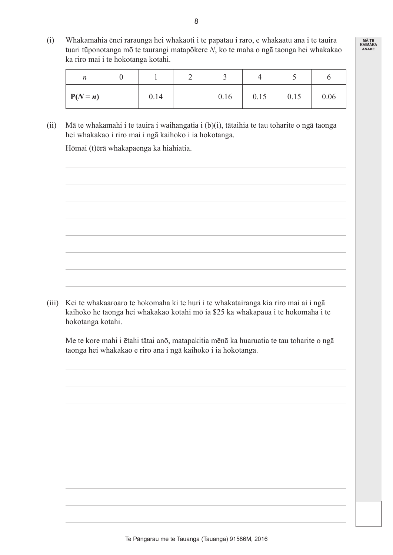(i) Whakamahia ēnei raraunga hei whakaoti i te papatau i raro, e whakaatu ana i te tauira tuari tūponotanga mō te taurangi matapōkere *N*, ko te maha o ngā taonga hei whakakao ka riro mai i te hokotanga kotahi.

| $\boldsymbol{n}$ |      | ٮ    |      |      |      |
|------------------|------|------|------|------|------|
| $P(N = n)$       | 0.14 | 0.16 | 0.15 | 0.15 | 0.06 |

 (ii) Mā te whakamahi i te tauira i waihangatia i (b)(i), tātaihia te tau toharite o ngā taonga hei whakakao i riro mai i ngā kaihoko i ia hokotanga.

 Hōmai (t)ērā whakapaenga ka hiahiatia.

 (iii) Kei te whakaaroaro te hokomaha ki te huri i te whakatairanga kia riro mai ai i ngā kaihoko he taonga hei whakakao kotahi mō ia \$25 ka whakapaua i te hokomaha i te hokotanga kotahi.

 Me te kore mahi i ētahi tātai anō, matapakitia mēnā ka huaruatia te tau toharite o ngā taonga hei whakakao e riro ana i ngā kaihoko i ia hokotanga.

8

Te Pāngarau me te Tauanga (Tauanga) 91586M, 2016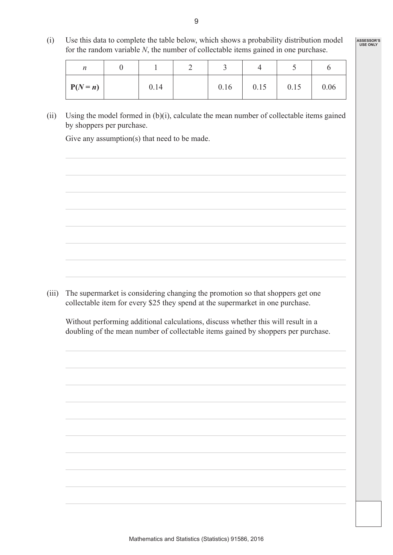(i) Use this data to complete the table below, which shows a probability distribution model for the random variable *N*, the number of collectable items gained in one purchase.

**ASSESSOR'S USE ONLY**

| n          |      |      |      |      |      |
|------------|------|------|------|------|------|
| $P(N = n)$ | 0.14 | 0.16 | 0.15 | 0.15 | 0.06 |

(ii) Using the model formed in  $(b)(i)$ , calculate the mean number of collectable items gained by shoppers per purchase.

Give any assumption(s) that need to be made.

(iii) The supermarket is considering changing the promotion so that shoppers get one collectable item for every \$25 they spend at the supermarket in one purchase.

 Without performing additional calculations, discuss whether this will result in a doubling of the mean number of collectable items gained by shoppers per purchase.

9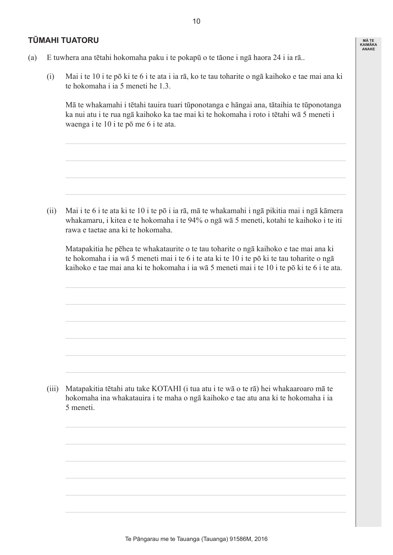### **TŪMAHI TUATORU**

**MĀ TE KAIMĀKA ANAKE**

- (a) E tuwhera ana tētahi hokomaha paku i te pokapū o te tāone i ngā haora 24 i ia rā..
	- (i) Mai i te 10 i te pō ki te 6 i te ata i ia rā, ko te tau toharite o ngā kaihoko e tae mai ana ki te hokomaha i ia 5 meneti he 1.3.

 Mā te whakamahi i tētahi tauira tuari tūponotanga e hāngai ana, tātaihia te tūponotanga ka nui atu i te rua ngā kaihoko ka tae mai ki te hokomaha i roto i tētahi wā 5 meneti i waenga i te 10 i te pō me 6 i te ata.

 (ii) Mai i te 6 i te ata ki te 10 i te pō i ia rā, mā te whakamahi i ngā pikitia mai i ngā kāmera whakamaru, i kitea e te hokomaha i te 94% o ngā wā 5 meneti, kotahi te kaihoko i te iti rawa e taetae ana ki te hokomaha.

 Matapakitia he pēhea te whakataurite o te tau toharite o ngā kaihoko e tae mai ana ki te hokomaha i ia wā 5 meneti mai i te 6 i te ata ki te 10 i te pō ki te tau toharite o ngā kaihoko e tae mai ana ki te hokomaha i ia wā 5 meneti mai i te 10 i te pō ki te 6 i te ata.

 (iii) Matapakitia tētahi atu take KOTAHI (i tua atu i te wā o te rā) hei whakaaroaro mā te hokomaha ina whakatauira i te maha o ngā kaihoko e tae atu ana ki te hokomaha i ia 5 meneti.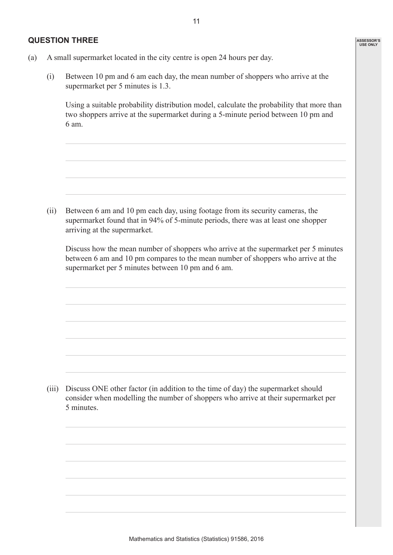#### **QUESTION THREE**

**ASSESSOR'S USE ONLY**

- (a) A small supermarket located in the city centre is open 24 hours per day.
	- (i) Between 10 pm and 6 am each day, the mean number of shoppers who arrive at the supermarket per 5 minutes is 1.3.

 Using a suitable probability distribution model, calculate the probability that more than two shoppers arrive at the supermarket during a 5-minute period between 10 pm and 6 am.

 (ii) Between 6 am and 10 pm each day, using footage from its security cameras, the supermarket found that in 94% of 5-minute periods, there was at least one shopper arriving at the supermarket.

 Discuss how the mean number of shoppers who arrive at the supermarket per 5 minutes between 6 am and 10 pm compares to the mean number of shoppers who arrive at the supermarket per 5 minutes between 10 pm and 6 am.

(iii) Discuss ONE other factor (in addition to the time of day) the supermarket should consider when modelling the number of shoppers who arrive at their supermarket per 5 minutes.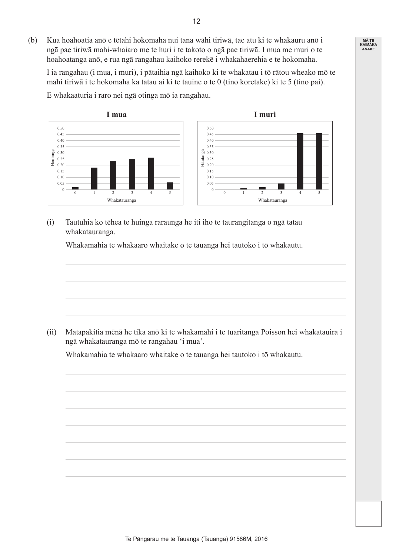(b) Kua hoahoatia anō e tētahi hokomaha nui tana wāhi tiriwā, tae atu ki te whakauru anō i ngā pae tiriwā mahi-whaiaro me te huri i te takoto o ngā pae tiriwā. I mua me muri o te hoahoatanga anō, e rua ngā rangahau kaihoko rerekē i whakahaerehia e te hokomaha.

 I ia rangahau (i mua, i muri), i pātaihia ngā kaihoko ki te whakatau i tō rātou wheako mō te mahi tiriwā i te hokomaha ka tatau ai ki te tauine o te 0 (tino koretake) ki te 5 (tino pai).

 E whakaaturia i raro nei ngā otinga mō ia rangahau.



 (i) Tautuhia ko tēhea te huinga raraunga he iti iho te taurangitanga o ngā tatau whakatauranga.

 Whakamahia te whakaaro whaitake o te tauanga hei tautoko i tō whakautu.



 (ii) Matapakitia mēnā he tika anō ki te whakamahi i te tuaritanga Poisson hei whakatauira i ngā whakatauranga mō te rangahau 'i mua'.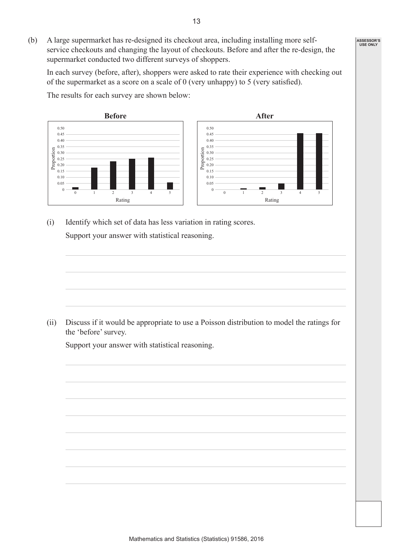(b) A large supermarket has re-designed its checkout area, including installing more selfservice checkouts and changing the layout of checkouts. Before and after the re-design, the supermarket conducted two different surveys of shoppers.

 In each survey (before, after), shoppers were asked to rate their experience with checking out of the supermarket as a score on a scale of 0 (very unhappy) to 5 (very satisfied).

 $0 \frac{1}{0}$ 0.05 0.10 0.15 0.20 0.25 0.30  $\frac{6}{100}$  0.35<br>  $\frac{0.35}{0.25}$  0.25<br>  $\frac{0.25}{0.20}$ 0.40 0.45 0.50 1 2 Rating  $\begin{array}{|c|c|c|c|c|}\n\hline\n3 & 4 & 5 & \end{array}$  0  $\begin{array}{|c|c|c|c|c|}\n\hline\n0 & 0 & 0 \\
\hline\n\end{array}$ 0.05 0.10 0.15 0.20 0.25 0.30  $\begin{bmatrix} 0.35 \\ 0.30 \\ 0.25 \\ 0.20 \\ \end{bmatrix}$ 0.40 0.45 0.50 1 2 Rating 3 4 5 **Before After**

 The results for each survey are shown below:

 (i) Identify which set of data has less variation in rating scores. Support your answer with statistical reasoning.

 (ii) Discuss if it would be appropriate to use a Poisson distribution to model the ratings for the 'before' survey.

 Support your answer with statistical reasoning.



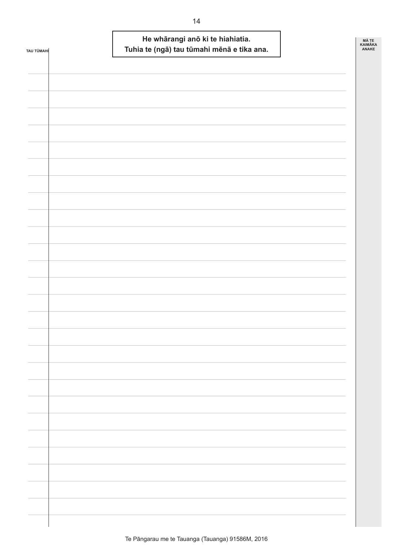| TAU TŪMAHI |  | He whārangi anō ki te hiahiatia. | Tuhia te (ngā) tau tūmahi mēnā e tika ana. | MÃ TE<br>KAIMÃKA<br>ANAKE |
|------------|--|----------------------------------|--------------------------------------------|---------------------------|
|            |  |                                  |                                            |                           |
|            |  |                                  |                                            |                           |
|            |  |                                  |                                            |                           |
|            |  |                                  |                                            |                           |
|            |  |                                  |                                            |                           |
|            |  |                                  |                                            |                           |
|            |  |                                  |                                            |                           |
|            |  |                                  |                                            |                           |
|            |  |                                  |                                            |                           |
|            |  |                                  |                                            |                           |
|            |  |                                  |                                            |                           |
|            |  |                                  |                                            |                           |
|            |  |                                  |                                            |                           |
|            |  |                                  |                                            |                           |
|            |  |                                  |                                            |                           |
|            |  |                                  |                                            |                           |
|            |  |                                  |                                            |                           |
|            |  |                                  |                                            |                           |
|            |  |                                  |                                            |                           |
|            |  |                                  |                                            |                           |
|            |  |                                  |                                            |                           |
|            |  |                                  |                                            |                           |
|            |  |                                  |                                            |                           |
|            |  |                                  |                                            |                           |
|            |  |                                  |                                            |                           |
|            |  |                                  |                                            |                           |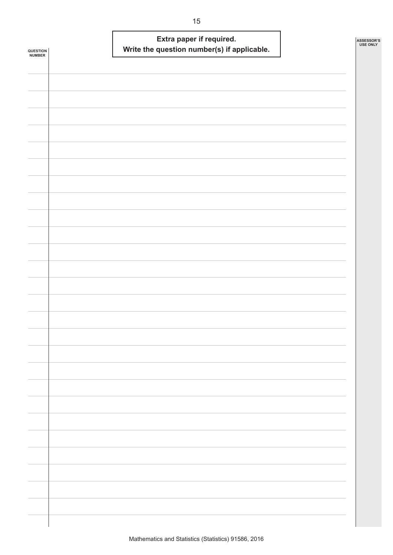| QUESTION<br><b>NUMBER</b> | Extra paper if required.<br>Write the question number(s) if applicable. | ASSESSOR'S<br><b>USE ONLY</b> |
|---------------------------|-------------------------------------------------------------------------|-------------------------------|
|                           |                                                                         |                               |
|                           |                                                                         |                               |
|                           |                                                                         |                               |
|                           |                                                                         |                               |
|                           |                                                                         |                               |
|                           |                                                                         |                               |
|                           |                                                                         |                               |
|                           |                                                                         |                               |
|                           |                                                                         |                               |
|                           |                                                                         |                               |
|                           |                                                                         |                               |
|                           |                                                                         |                               |
|                           |                                                                         |                               |
|                           |                                                                         |                               |
|                           |                                                                         |                               |
|                           |                                                                         |                               |
|                           |                                                                         |                               |
|                           |                                                                         |                               |